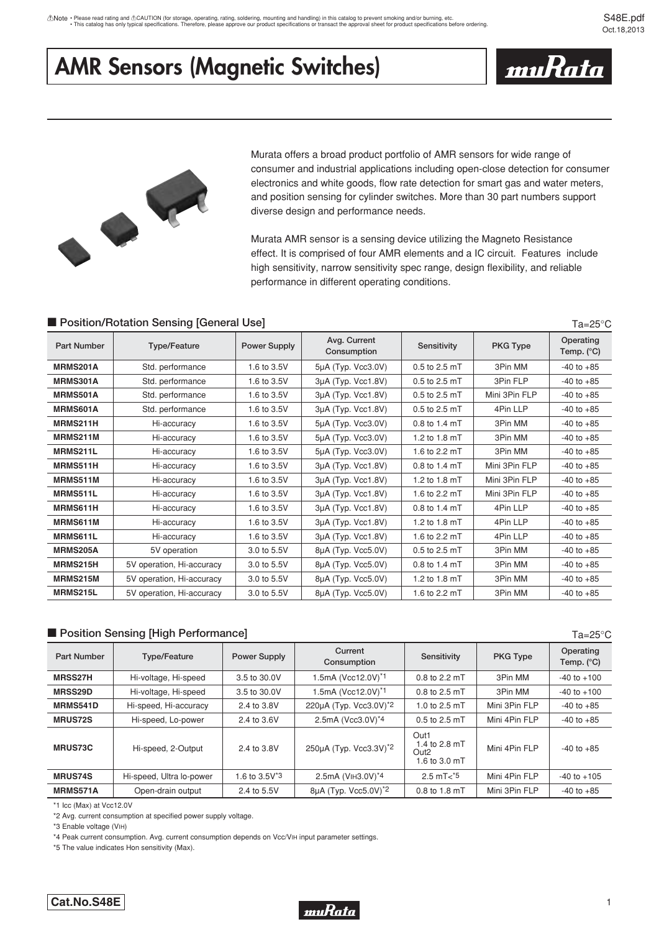# **AMR Sensors (Magnetic Switches)**



 $Ta = 25^{\circ}C$ 

Ta=25°C



Murata offers a broad product portfolio of AMR sensors for wide range of consumer and industrial applications including open-close detection for consumer electronics and white goods, flow rate detection for smart gas and water meters, and position sensing for cylinder switches. More than 30 part numbers support diverse design and performance needs.

Murata AMR sensor is a sensing device utilizing the Magneto Resistance effect. It is comprised of four AMR elements and a IC circuit. Features include high sensitivity, narrow sensitivity spec range, design flexibility, and reliable performance in different operating conditions.

## **E** Position/Rotation Sensing [General Use]

| <b>Part Number</b> | <b>Type/Feature</b>       | Power Supply | Avg. Current<br>Consumption | Sensitivity     | <b>PKG Type</b> | Operating<br>Temp. $(^{\circ}C)$ |
|--------------------|---------------------------|--------------|-----------------------------|-----------------|-----------------|----------------------------------|
| MRMS201A           | Std. performance          | 1.6 to 3.5V  | 5µA (Typ. Vcc3.0V)          | 0.5 to 2.5 mT   | 3Pin MM         | $-40$ to $+85$                   |
| MRMS301A           | Std. performance          | 1.6 to 3.5V  | 3µA (Typ. Vcc1.8V)          | $0.5$ to 2.5 mT | 3Pin FLP        | $-40$ to $+85$                   |
| <b>MRMS501A</b>    | Std. performance          | 1.6 to 3.5V  | 3µA (Typ. Vcc1.8V)          | 0.5 to 2.5 mT   | Mini 3Pin FLP   | $-40$ to $+85$                   |
| MRMS601A           | Std. performance          | 1.6 to 3.5V  | 3µA (Typ. Vcc1.8V)          | 0.5 to 2.5 mT   | 4Pin LLP        | $-40$ to $+85$                   |
| MRMS211H           | Hi-accuracy               | 1.6 to 3.5V  | 5µA (Typ. Vcc3.0V)          | 0.8 to 1.4 mT   | 3Pin MM         | $-40$ to $+85$                   |
| MRMS211M           | Hi-accuracy               | 1.6 to 3.5V  | 5µA (Typ. Vcc3.0V)          | 1.2 to 1.8 mT   | 3Pin MM         | $-40$ to $+85$                   |
| MRMS211L           | Hi-accuracy               | 1.6 to 3.5V  | 5µA (Typ. Vcc3.0V)          | 1.6 to 2.2 mT   | 3Pin MM         | $-40$ to $+85$                   |
| <b>MRMS511H</b>    | Hi-accuracy               | 1.6 to 3.5V  | $3\mu A$ (Typ. Vcc1.8V)     | $0.8$ to 1.4 mT | Mini 3Pin FLP   | $-40$ to $+85$                   |
| MRMS511M           | Hi-accuracy               | 1.6 to 3.5V  | 3µA (Typ. Vcc1.8V)          | 1.2 to 1.8 mT   | Mini 3Pin FLP   | $-40$ to $+85$                   |
| <b>MRMS511L</b>    | Hi-accuracy               | 1.6 to 3.5V  | $3\mu A$ (Typ. Vcc1.8V)     | 1.6 to 2.2 mT   | Mini 3Pin FLP   | $-40$ to $+85$                   |
| <b>MRMS611H</b>    | Hi-accuracy               | 1.6 to 3.5V  | $3\mu A$ (Typ. Vcc1.8V)     | 0.8 to 1.4 mT   | 4Pin LLP        | $-40$ to $+85$                   |
| <b>MRMS611M</b>    | Hi-accuracy               | 1.6 to 3.5V  | 3µA (Typ. Vcc1.8V)          | 1.2 to 1.8 mT   | 4Pin LLP        | $-40$ to $+85$                   |
| <b>MRMS611L</b>    | Hi-accuracy               | 1.6 to 3.5V  | 3µA (Typ. Vcc1.8V)          | 1.6 to 2.2 mT   | 4Pin LLP        | $-40$ to $+85$                   |
| <b>MRMS205A</b>    | 5V operation              | 3.0 to 5.5V  | 8µA (Typ. Vcc5.0V)          | 0.5 to 2.5 mT   | 3Pin MM         | $-40$ to $+85$                   |
| <b>MRMS215H</b>    | 5V operation, Hi-accuracy | 3.0 to 5.5V  | 8µA (Typ. Vcc5.0V)          | 0.8 to 1.4 mT   | 3Pin MM         | $-40$ to $+85$                   |
| <b>MRMS215M</b>    | 5V operation, Hi-accuracy | 3.0 to 5.5V  | 8µA (Typ. Vcc5.0V)          | 1.2 to 1.8 mT   | 3Pin MM         | $-40$ to $+85$                   |
| MRMS215L           | 5V operation, Hi-accuracy | 3.0 to 5.5V  | 8µA (Typ. Vcc5.0V)          | 1.6 to 2.2 mT   | 3Pin MM         | $-40$ to $+85$                   |

## **E** Position Sensing [High Performance]

| Part Number     | <b>Type/Feature</b>      | <b>Power Supply</b> | Current<br>Consumption | Sensitivity                                                | <b>PKG Type</b> | Operating<br>Temp. $(^{\circ}C)$ |
|-----------------|--------------------------|---------------------|------------------------|------------------------------------------------------------|-----------------|----------------------------------|
| <b>MRSS27H</b>  | Hi-voltage, Hi-speed     | 3.5 to 30.0V        | 1.5mA (Vcc12.0V)*1     | $0.8$ to 2.2 mT                                            | 3Pin MM         | $-40$ to $+100$                  |
| MRSS29D         | Hi-voltage, Hi-speed     | 3.5 to 30.0V        | 1.5mA (Vcc12.0V)*1     | $0.8$ to 2.5 mT                                            | 3Pin MM         | $-40$ to $+100$                  |
| <b>MRMS541D</b> | Hi-speed, Hi-accuracy    | 2.4 to 3.8V         | 220µA (Typ. Vcc3.0V)*2 | 1.0 to 2.5 mT                                              | Mini 3Pin FLP   | $-40$ to $+85$                   |
| <b>MRUS72S</b>  | Hi-speed, Lo-power       | 2.4 to 3.6V         | 2.5mA (Vcc3.0V)*4      | 0.5 to 2.5 mT                                              | Mini 4Pin FLP   | $-40$ to $+85$                   |
| <b>MRUS73C</b>  | Hi-speed, 2-Output       | 2.4 to 3.8V         | 250µA (Typ. Vcc3.3V)*2 | Out1<br>1.4 to 2.8 mT<br>Out <sub>2</sub><br>1.6 to 3.0 mT | Mini 4Pin FLP   | $-40$ to $+85$                   |
| <b>MRUS74S</b>  | Hi-speed, Ultra lo-power | 1.6 to $3.5V^*3$    | 2.5mA (VIH3.0V)*4      | $2.5 \text{ mT} < 5$                                       | Mini 4Pin FLP   | $-40$ to $+105$                  |
| MRMS571A        | Open-drain output        | 2.4 to 5.5V         | 8µA (Typ. Vcc5.0V)*2   | 0.8 to 1.8 mT                                              | Mini 3Pin FLP   | $-40$ to $+85$                   |

\*1 Icc (Max) at Vcc12.0V

\*2 Avg. current consumption at specified power supply voltage.

\*3 Enable voltage (VIH)

\*4 Peak current consumption. Avg. current consumption depends on Vcc/VIH input parameter settings.

\*5 The value indicates Hon sensitivity (Max).

## **Cat.No.S48E**

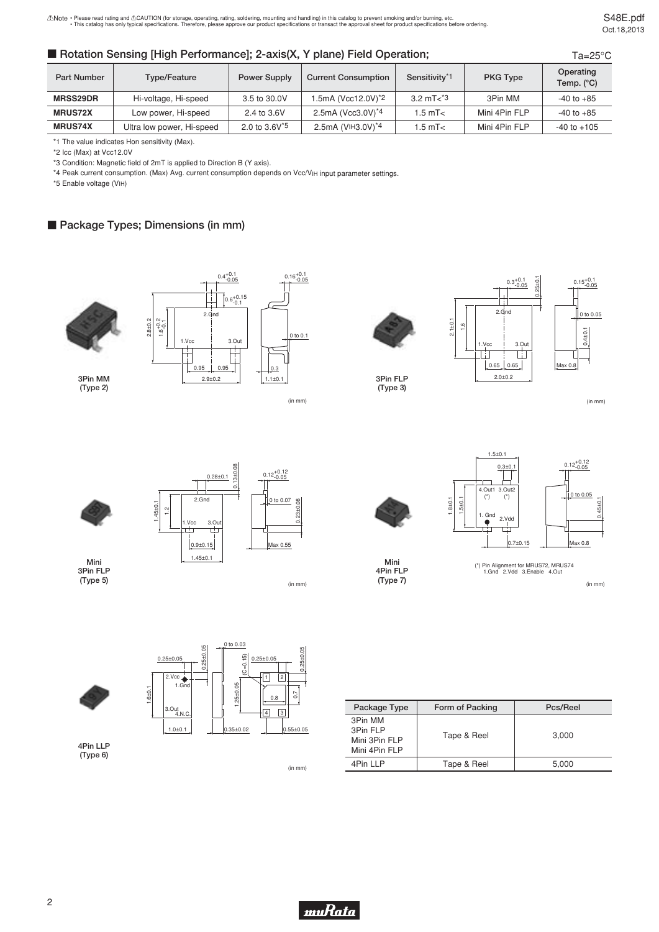## ■ Rotation Sensing [High Performance]; 2-axis(X, Y plane) Field Operation;

S48E.pdf Oct.18,2013

| Rotation Sensing [High Performance]; 2-axis(X, Y plane) Field Operation; |                           |                     |                                |                           | $Ta = 25^{\circ}C$ |                                  |
|--------------------------------------------------------------------------|---------------------------|---------------------|--------------------------------|---------------------------|--------------------|----------------------------------|
| Part Number                                                              | Type/Feature              | <b>Power Supply</b> | <b>Current Consumption</b>     | Sensitivity <sup>*1</sup> | <b>PKG Type</b>    | Operating<br>Temp. $(^{\circ}C)$ |
| <b>MRSS29DR</b>                                                          | Hi-voltage, Hi-speed      | 3.5 to 30.0V        | 1.5mA (Vcc12.0V) <sup>*2</sup> | 3.2 mT $3$                | 3Pin MM            | $-40$ to $+85$                   |
| <b>MRUS72X</b>                                                           | Low power, Hi-speed       | 2.4 to 3.6V         | 2.5mA (Vcc3.0V) <sup>*4</sup>  | $1.5 \text{ mT}$          | Mini 4Pin FLP      | $-40$ to $+85$                   |
| <b>MRUS74X</b>                                                           | Ultra low power, Hi-speed | 2.0 to $3.6V^{5}$   | 2.5mA (VIH3.0V) <sup>*4</sup>  | $1.5 \text{ mT}$          | Mini 4Pin FLP      | $-40$ to $+105$                  |

\*1 The value indicates Hon sensitivity (Max).

\*2 Icc (Max) at Vcc12.0V

\*3 Condition: Magnetic field of 2mT is applied to Direction B (Y axis).

\*4 Peak current consumption. (Max) Avg. current consumption depends on Vcc/VIH input parameter settings.

\*5 Enable voltage (VIH)

## **Package Types; Dimensions (in mm)**

2.8±0.2

1.45±0.1 1.2



**3Pin MM (Type 2)**



(in mm)





**3Pin FLP (Type 3)**







**3Pin FLP (Type 5)**



(in mm)





**4Pin LLP (Type 6)**

(in mm)





1.5±0.1



**Mini 4Pin FLP (Type 7)**



(in mm)

| Package Type                                          | Form of Packing | Pcs/Reel |
|-------------------------------------------------------|-----------------|----------|
| 3Pin MM<br>3Pin FLP<br>Mini 3Pin FLP<br>Mini 4Pin FLP | Tape & Reel     | 3.000    |
| 4Pin I I P                                            | Tape & Reel     | 5.000    |

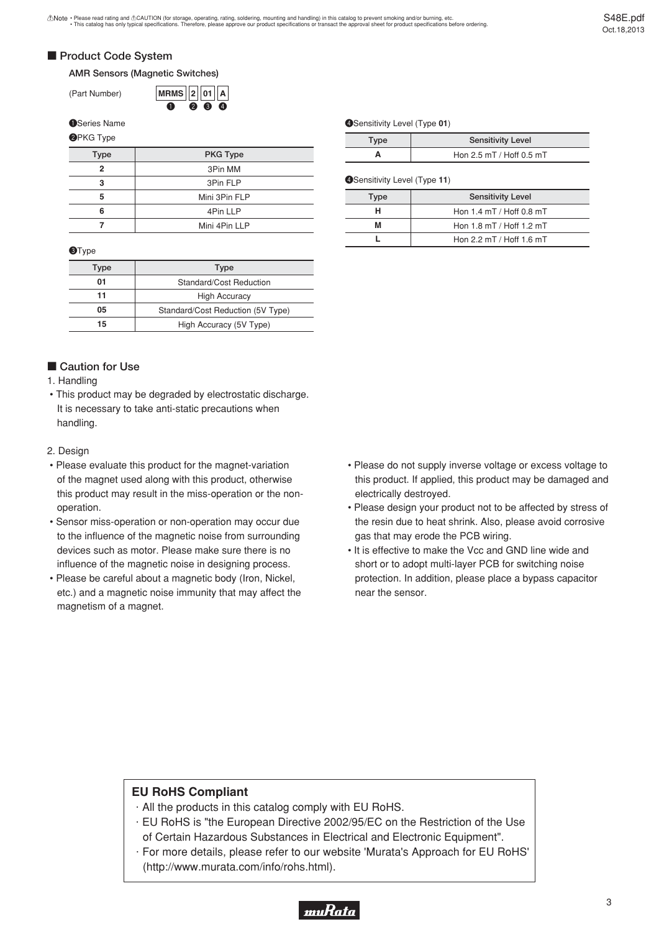## **E** Product Code System

### **AMR Sensors (Magnetic Switches)**

(Part Number)

234 **01 2 MRMS A**  $\bf{0}$ 

#### **OSeries Name**

### **@PKG Type**

| <b>Type</b> | <b>PKG Type</b> |
|-------------|-----------------|
| 2           | 3Pin MM         |
| 3           | 3Pin FLP        |
| 5           | Mini 3Pin FLP   |
| 6           | 4Pin LLP        |
|             | Mini 4Pin LLP   |

#### **O**Type

| Type                                    | Type                    |
|-----------------------------------------|-------------------------|
| 01<br>Standard/Cost Reduction           |                         |
| 11                                      | <b>High Accuracy</b>    |
| 05<br>Standard/Cost Reduction (5V Type) |                         |
| 15                                      | High Accuracy (5V Type) |

## **Caution for Use**

### 1. Handling

 • This product may be degraded by electrostatic discharge. It is necessary to take anti-static precautions when handling.

#### 2. Design

- Please evaluate this product for the magnet-variation of the magnet used along with this product, otherwise this product may result in the miss-operation or the nonoperation.
- Sensor miss-operation or non-operation may occur due to the influence of the magnetic noise from surrounding devices such as motor. Please make sure there is no influence of the magnetic noise in designing process.
- Please be careful about a magnetic body (Iron, Nickel, etc.) and a magnetic noise immunity that may affect the magnetism of a magnet.

#### **OSensitivity Level (Type 01)**

| Type | <b>Sensitivity Level</b> |
|------|--------------------------|
|      | Hon 2.5 mT / Hoff 0.5 mT |

#### **@Sensitivity Level (Type 11)**

| <b>Sensitivity Level</b><br>Type |                              |
|----------------------------------|------------------------------|
| н                                | Hon $1.4$ mT / Hoff 0.8 mT   |
| м                                | Hon $1.8$ mT / Hoff $1.2$ mT |
|                                  | Hon 2.2 mT / Hoff 1.6 mT     |

- Please do not supply inverse voltage or excess voltage to this product. If applied, this product may be damaged and electrically destroyed.
- Please design your product not to be affected by stress of the resin due to heat shrink. Also, please avoid corrosive gas that may erode the PCB wiring.
- It is effective to make the Vcc and GND line wide and short or to adopt multi-layer PCB for switching noise protection. In addition, please place a bypass capacitor near the sensor.

## **EU RoHS Compliant**

- $\cdot$  All the products in this catalog comply with EU RoHS.
- · EU RoHS is "the European Directive 2002/95/EC on the Restriction of the Use of Certain Hazardous Substances in Electrical and Electronic Equipment".
- · For more details, please refer to our website 'Murata's Approach for EU RoHS' (http://www.murata.com/info/rohs.html).